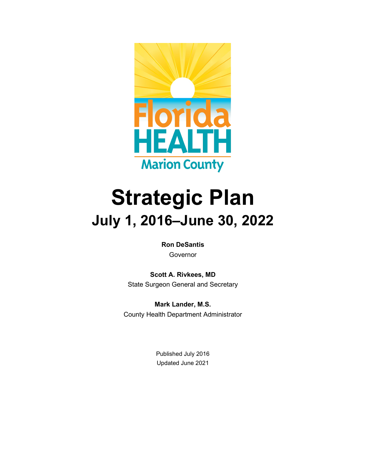

# **Strategic Plan July 1, 2016–June 30, 2022**

**Ron DeSantis** Governor

**Scott A. Rivkees, MD** State Surgeon General and Secretary

**Mark Lander, M.S.** County Health Department Administrator

> Published July 2016 Updated June 2021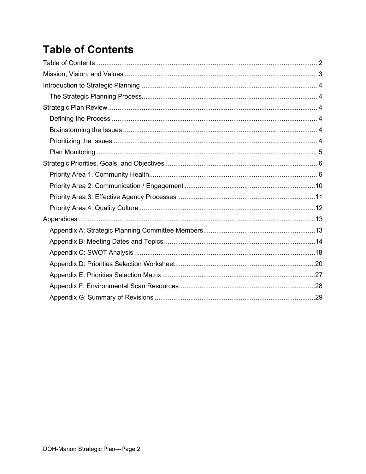# <span id="page-1-0"></span>**Table of Contents**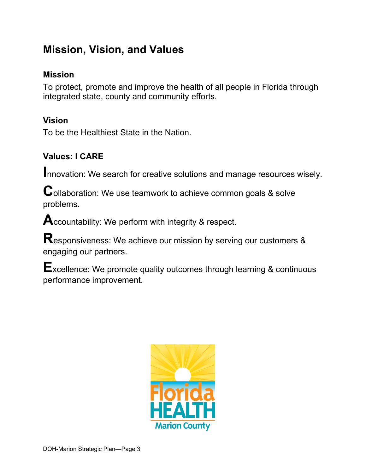# <span id="page-2-0"></span>**Mission, Vision, and Values**

### **Mission**

To protect, promote and improve the health of all people in Florida through integrated state, county and community efforts.

### **Vision**

To be the Healthiest State in the Nation.

### **Values: I CARE**

**I**nnovation: We search for creative solutions and manage resources wisely.

**C**ollaboration: We use teamwork to achieve common goals & solve problems.

**A**ccountability: We perform with integrity & respect.

**R**esponsiveness: We achieve our mission by serving our customers & engaging our partners.

**E**xcellence: We promote quality outcomes through learning & continuous performance improvement.

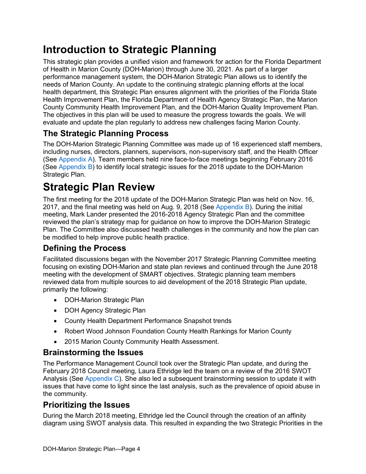# <span id="page-3-0"></span>**Introduction to Strategic Planning**

This strategic plan provides a unified vision and framework for action for the Florida Department of Health in Marion County (DOH-Marion) through June 30, 2021. As part of a larger performance management system, the DOH-Marion Strategic Plan allows us to identify the needs of Marion County. An update to the continuing strategic planning efforts at the local health department, this Strategic Plan ensures alignment with the priorities of the Florida State Health Improvement Plan, the Florida Department of Health Agency Strategic Plan, the Marion County Community Health Improvement Plan, and the DOH-Marion Quality Improvement Plan. The objectives in this plan will be used to measure the progress towards the goals. We will evaluate and update the plan regularly to address new challenges facing Marion County.

### <span id="page-3-1"></span>**The Strategic Planning Process**

The DOH-Marion Strategic Planning Committee was made up of 16 experienced staff members, including nurses, directors, planners, supervisors, non-supervisory staff, and the Health Officer (See [Appendix A\)](#page-12-1). Team members held nine face-to-face meetings beginning February 2016 (See [Appendix B\)](#page-13-0) to identify local strategic issues for the 2018 update to the DOH-Marion Strategic Plan.

# <span id="page-3-2"></span>**Strategic Plan Review**

The first meeting for the 2018 update of the DOH-Marion Strategic Plan was held on Nov. 16, 2017, and the final meeting was held on Aug. 9, 2018 (See [Appendix B\)](#page-13-0). During the initial meeting, Mark Lander presented the 2016-2018 Agency Strategic Plan and the committee reviewed the plan's strategy map for guidance on how to improve the DOH-Marion Strategic Plan. The Committee also discussed health challenges in the community and how the plan can be modified to help improve public health practice.

### <span id="page-3-3"></span>**Defining the Process**

Facilitated discussions began with the November 2017 Strategic Planning Committee meeting focusing on existing DOH-Marion and state plan reviews and continued through the June 2018 meeting with the development of SMART objectives. Strategic planning team members reviewed data from multiple sources to aid development of the 2018 Strategic Plan update, primarily the following:

- DOH-Marion Strategic Plan
- DOH Agency Strategic Plan
- County Health Department Performance Snapshot trends
- Robert Wood Johnson Foundation County Health Rankings for Marion County
- 2015 Marion County Community Health Assessment.

#### <span id="page-3-4"></span>**Brainstorming the Issues**

The Performance Management Council took over the Strategic Plan update, and during the February 2018 Council meeting, Laura Ethridge led the team on a review of the 2016 SWOT Analysis (See [Appendix C\)](#page-17-0). She also led a subsequent brainstorming session to update it with issues that have come to light since the last analysis, such as the prevalence of opioid abuse in the community.

#### <span id="page-3-5"></span>**Prioritizing the Issues**

During the March 2018 meeting, Ethridge led the Council through the creation of an affinity diagram using SWOT analysis data. This resulted in expanding the two Strategic Priorities in the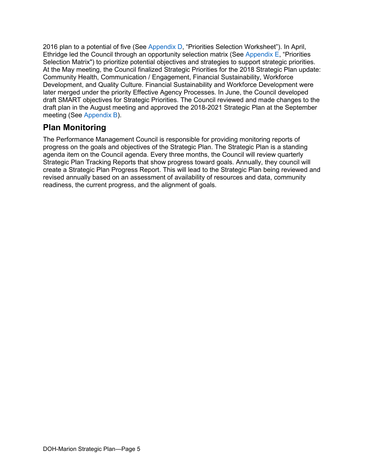2016 plan to a potential of five (See [Appendix D,](#page-19-0) "Priorities Selection Worksheet"). In April, Ethridge led the Council through an opportunity selection matrix (See [Appendix E,](#page-26-0) "Priorities Selection Matrix") to prioritize potential objectives and strategies to support strategic priorities. At the May meeting, the Council finalized Strategic Priorities for the 2018 Strategic Plan update: Community Health, Communication / Engagement, Financial Sustainability, Workforce Development, and Quality Culture. Financial Sustainability and Workforce Development were later merged under the priority Effective Agency Processes. In June, the Council developed draft SMART objectives for Strategic Priorities. The Council reviewed and made changes to the draft plan in the August meeting and approved the 2018-2021 Strategic Plan at the September meeting (See [Appendix B\)](#page-13-0).

#### <span id="page-4-0"></span>**Plan Monitoring**

The Performance Management Council is responsible for providing monitoring reports of progress on the goals and objectives of the Strategic Plan. The Strategic Plan is a standing agenda item on the Council agenda. Every three months, the Council will review quarterly Strategic Plan Tracking Reports that show progress toward goals. Annually, they council will create a Strategic Plan Progress Report. This will lead to the Strategic Plan being reviewed and revised annually based on an assessment of availability of resources and data, community readiness, the current progress, and the alignment of goals.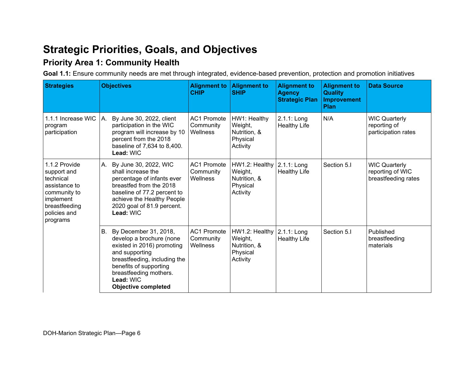# **Strategic Priorities, Goals, and Objectives**

### **Priority Area 1: Community Health**

**Goal 1.1:** Ensure community needs are met through integrated, evidence-based prevention, protection and promotion initiatives

<span id="page-5-1"></span><span id="page-5-0"></span>

| <b>Strategies</b>                                                                                                                    | <b>Objectives</b>                                                                                                                                                                                                                   | <b>Alignment to</b><br><b>CHIP</b>          | <b>Alignment to</b><br><b>SHIP</b>                                | <b>Alignment to</b><br><b>Agency</b><br><b>Strategic Plan</b> | <b>Alignment to</b><br><b>Quality</b><br><b>Improvement</b><br><b>Plan</b> | <b>Data Source</b>                                              |
|--------------------------------------------------------------------------------------------------------------------------------------|-------------------------------------------------------------------------------------------------------------------------------------------------------------------------------------------------------------------------------------|---------------------------------------------|-------------------------------------------------------------------|---------------------------------------------------------------|----------------------------------------------------------------------------|-----------------------------------------------------------------|
| 1.1.1 Increase WIC<br>program<br>participation                                                                                       | A. By June 30, 2022, client<br>participation in the WIC<br>program will increase by 10<br>percent from the 2018<br>baseline of 7,634 to 8,400.<br>Lead: WIC                                                                         | <b>AC1 Promote</b><br>Community<br>Wellness | HW1: Healthy<br>Weight,<br>Nutrition, &<br>Physical<br>Activity   | 2.1.1: Long<br><b>Healthy Life</b>                            | N/A                                                                        | <b>WIC Quarterly</b><br>reporting of<br>participation rates     |
| 1.1.2 Provide<br>support and<br>technical<br>assistance to<br>community to<br>implement<br>breastfeeding<br>policies and<br>programs | A. By June 30, 2022, WIC<br>shall increase the<br>percentage of infants ever<br>breastfed from the 2018<br>baseline of 77.2 percent to<br>achieve the Healthy People<br>2020 goal of 81.9 percent.<br>Lead: WIC                     | <b>AC1 Promote</b><br>Community<br>Wellness | HW1.2: Healthy<br>Weight,<br>Nutrition, &<br>Physical<br>Activity | 2.1.1: Long<br><b>Healthy Life</b>                            | Section 5.1                                                                | <b>WIC Quarterly</b><br>reporting of WIC<br>breastfeeding rates |
|                                                                                                                                      | B. By December 31, 2018,<br>develop a brochure (none<br>existed in 2016) promoting<br>and supporting<br>breastfeeding, including the<br>benefits of supporting<br>breastfeeding mothers.<br>Lead: WIC<br><b>Objective completed</b> | <b>AC1 Promote</b><br>Community<br>Wellness | HW1.2: Healthy<br>Weight,<br>Nutrition, &<br>Physical<br>Activity | 2.1.1: Long<br><b>Healthy Life</b>                            | Section 5.I                                                                | Published<br>breastfeeding<br>materials                         |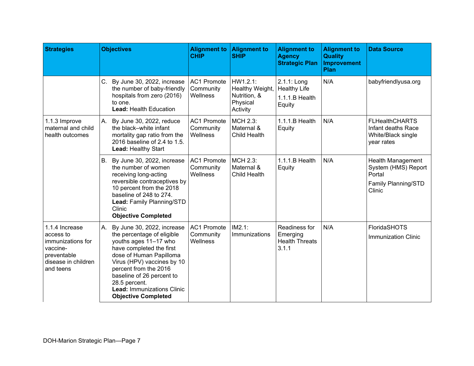| <b>Strategies</b>                                                                                               | <b>Objectives</b>                                                                                                                                                                                                                                                                                                      | <b>Alignment to</b><br><b>CHIP</b>          | <b>Alignment to</b><br><b>SHIP</b>                                  | <b>Alignment to</b><br><b>Agency</b><br><b>Strategic Plan</b>  | <b>Alignment to</b><br><b>Quality</b><br><b>Improvement</b><br>Plan | <b>Data Source</b>                                                                         |
|-----------------------------------------------------------------------------------------------------------------|------------------------------------------------------------------------------------------------------------------------------------------------------------------------------------------------------------------------------------------------------------------------------------------------------------------------|---------------------------------------------|---------------------------------------------------------------------|----------------------------------------------------------------|---------------------------------------------------------------------|--------------------------------------------------------------------------------------------|
|                                                                                                                 | $C_{1}$<br>By June 30, 2022, increase<br>the number of baby-friendly<br>hospitals from zero (2016)<br>to one.<br>Lead: Health Education                                                                                                                                                                                | <b>AC1 Promote</b><br>Community<br>Wellness | HW1.2.1:<br>Healthy Weight,<br>Nutrition, &<br>Physical<br>Activity | 2.1.1: Long<br><b>Healthy Life</b><br>1.1.1.B Health<br>Equity | N/A                                                                 | babyfriendlyusa.org                                                                        |
| 1.1.3 Improve<br>maternal and child<br>health outcomes                                                          | A. By June 30, 2022, reduce<br>the black-white infant<br>mortality gap ratio from the<br>2016 baseline of 2.4 to 1.5.<br>Lead: Healthy Start                                                                                                                                                                           | <b>AC1 Promote</b><br>Community<br>Wellness | MCH 2.3:<br>Maternal &<br>Child Health                              | $1.1.1.B$ Health<br>Equity                                     | N/A                                                                 | <b>FLHealthCHARTS</b><br>Infant deaths Race<br>White/Black single<br>year rates            |
|                                                                                                                 | B. By June 30, 2022, increase<br>the number of women<br>receiving long-acting<br>reversible contraceptives by<br>10 percent from the 2018<br>baseline of 248 to 274.<br>Lead: Family Planning/STD<br>Clinic<br><b>Objective Completed</b>                                                                              | <b>AC1 Promote</b><br>Community<br>Wellness | MCH 2.3:<br>Maternal &<br><b>Child Health</b>                       | 1.1.1.B Health<br>Equity                                       | N/A                                                                 | <b>Health Management</b><br>System (HMS) Report<br>Portal<br>Family Planning/STD<br>Clinic |
| 1.1.4 Increase<br>access to<br>immunizations for<br>vaccine-<br>preventable<br>disease in children<br>and teens | By June 30, 2022, increase<br>А.<br>the percentage of eligible<br>youths ages 11-17 who<br>have completed the first<br>dose of Human Papilloma<br>Virus (HPV) vaccines by 10<br>percent from the 2016<br>baseline of 26 percent to<br>28.5 percent.<br><b>Lead: Immunizations Clinic</b><br><b>Objective Completed</b> | <b>AC1 Promote</b><br>Community<br>Wellness | $IM2.1$ :<br>Immunizations                                          | Readiness for<br>Emerging<br><b>Health Threats</b><br>3.1.1    | N/A                                                                 | FloridaSHOTS<br>Immunization Clinic                                                        |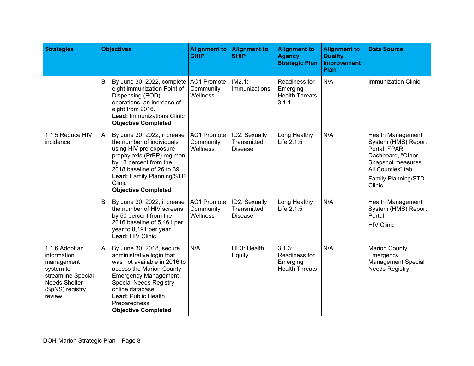| <b>Strategies</b>                                                                                                            | <b>Objectives</b>                                                                                                                                                                                                                                                                    | <b>Alignment to</b><br><b>CHIP</b>          | <b>Alignment to</b><br><b>SHIP</b>             | <b>Alignment to</b><br><b>Agency</b><br><b>Strategic Plan</b> | <b>Alignment to</b><br><b>Quality</b><br><b>Improvement</b><br>Plan | <b>Data Source</b>                                                                                                                                              |
|------------------------------------------------------------------------------------------------------------------------------|--------------------------------------------------------------------------------------------------------------------------------------------------------------------------------------------------------------------------------------------------------------------------------------|---------------------------------------------|------------------------------------------------|---------------------------------------------------------------|---------------------------------------------------------------------|-----------------------------------------------------------------------------------------------------------------------------------------------------------------|
|                                                                                                                              | B. By June 30, 2022, complete<br>eight immunization Point of<br>Dispensing (POD)<br>operations, an increase of<br>eight from 2016.<br><b>Lead: Immunizations Clinic</b><br><b>Objective Completed</b>                                                                                | <b>AC1 Promote</b><br>Community<br>Wellness | IM2.1:<br>Immunizations                        | Readiness for<br>Emerging<br><b>Health Threats</b><br>3.1.1   | N/A                                                                 | <b>Immunization Clinic</b>                                                                                                                                      |
| 1.1.5 Reduce HIV<br>incidence                                                                                                | A. By June 30, 2022, increase<br>the number of individuals<br>using HIV pre-exposure<br>prophylaxis (PrEP) regimen<br>by 13 percent from the<br>2018 baseline of 26 to 39.<br>Lead: Family Planning/STD<br>Clinic<br><b>Objective Completed</b>                                      | <b>AC1 Promote</b><br>Community<br>Wellness | ID2: Sexually<br>Transmitted<br><b>Disease</b> | Long Healthy<br>Life 2.1.5                                    | N/A                                                                 | <b>Health Management</b><br>System (HMS) Report<br>Portal, FPAR<br>Dashboard, "Other<br>Snapshot measures<br>All Counties" tab<br>Family Planning/STD<br>Clinic |
|                                                                                                                              | B. By June 30, 2022, increase<br>the number of HIV screens<br>by 50 percent from the<br>2016 baseline of 5,461 per<br>year to 8,191 per year.<br>Lead: HIV Clinic                                                                                                                    | <b>AC1 Promote</b><br>Community<br>Wellness | ID2: Sexually<br>Transmitted<br><b>Disease</b> | Long Healthy<br>Life 2.1.5                                    | N/A                                                                 | Health Management<br>System (HMS) Report<br>Portal<br><b>HIV Clinic</b>                                                                                         |
| 1.1.6 Adopt an<br>information<br>management<br>system to<br>streamline Special<br>Needs Shelter<br>(SpNS) registry<br>review | A. By June 30, 2018, secure<br>administrative login that<br>was not available in 2016 to<br>access the Marion County<br><b>Emergency Management</b><br><b>Special Needs Registry</b><br>online database.<br><b>Lead: Public Health</b><br>Preparedness<br><b>Objective Completed</b> | N/A                                         | HE3: Health<br>Equity                          | 3.1.3:<br>Readiness for<br>Emerging<br><b>Health Threats</b>  | N/A                                                                 | <b>Marion County</b><br>Emergency<br><b>Management Special</b><br><b>Needs Registry</b>                                                                         |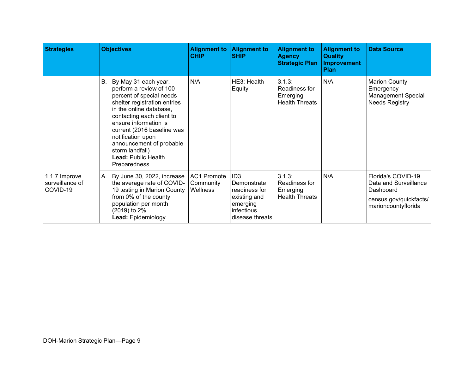| <b>Strategies</b>                            | <b>Objectives</b>                                                                                                                                                                                                                                                                                                                                         | <b>CHIP</b>                          | Alignment to   Alignment to<br><b>SHIP</b>                                                                    | <b>Alignment to</b><br><b>Agency</b><br><b>Strategic Plan</b> | <b>Alignment to</b><br><b>Quality</b><br><b>Improvement</b><br><b>Plan</b> | <b>Data Source</b>                                                                                        |
|----------------------------------------------|-----------------------------------------------------------------------------------------------------------------------------------------------------------------------------------------------------------------------------------------------------------------------------------------------------------------------------------------------------------|--------------------------------------|---------------------------------------------------------------------------------------------------------------|---------------------------------------------------------------|----------------------------------------------------------------------------|-----------------------------------------------------------------------------------------------------------|
|                                              | By May 31 each year,<br><b>B.</b><br>perform a review of 100<br>percent of special needs<br>shelter registration entries<br>in the online database,<br>contacting each client to<br>ensure information is<br>current (2016 baseline was<br>notification upon<br>announcement of probable<br>storm landfall)<br><b>Lead: Public Health</b><br>Preparedness | N/A                                  | HE3: Health<br>Equity                                                                                         | 3.1.3:<br>Readiness for<br>Emerging<br><b>Health Threats</b>  | N/A                                                                        | <b>Marion County</b><br>Emergency<br><b>Management Special</b><br><b>Needs Registry</b>                   |
| 1.1.7 Improve<br>surveillance of<br>COVID-19 | By June 30, 2022, increase<br>А.<br>the average rate of COVID-<br>19 testing in Marion County<br>from 0% of the county<br>population per month<br>(2019) to 2%<br>Lead: Epidemiology                                                                                                                                                                      | AC1 Promote<br>Community<br>Wellness | ID <sub>3</sub><br>Demonstrate<br>readiness for<br>existing and<br>emerging<br>infectious<br>disease threats. | 3.1.3:<br>Readiness for<br>Emerging<br><b>Health Threats</b>  | N/A                                                                        | Florida's COVID-19<br>Data and Surveillance<br>Dashboard<br>census.gov/quickfacts/<br>marioncountyflorida |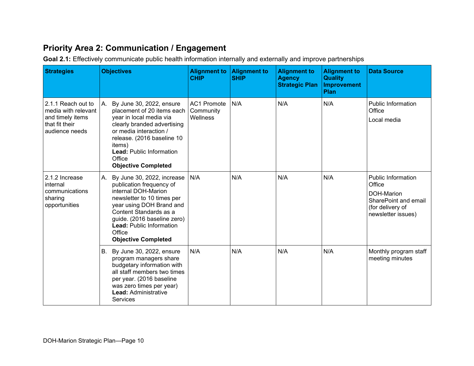### **Priority Area 2: Communication / Engagement**

**Goal 2.1:** Effectively communicate public health information internally and externally and improve partnerships

<span id="page-9-0"></span>

| <b>Strategies</b>                                                                                 | <b>Objectives</b>                                                                                                                                                                                                                                                                 | <b>Alignment to</b><br><b>CHIP</b>          | <b>Alignment to</b><br><b>SHIP</b> | <b>Alignment to</b><br><b>Agency</b><br><b>Strategic Plan</b> | <b>Alignment to</b><br><b>Quality</b><br><b>Improvement</b><br>Plan | <b>Data Source</b>                                                                                           |
|---------------------------------------------------------------------------------------------------|-----------------------------------------------------------------------------------------------------------------------------------------------------------------------------------------------------------------------------------------------------------------------------------|---------------------------------------------|------------------------------------|---------------------------------------------------------------|---------------------------------------------------------------------|--------------------------------------------------------------------------------------------------------------|
| 2.1.1 Reach out to<br>media with relevant<br>and timely items<br>that fit their<br>audience needs | By June 30, 2022, ensure<br>А.<br>placement of 20 items each<br>year in local media via<br>clearly branded advertising<br>or media interaction /<br>release. (2016 baseline 10<br>items)<br><b>Lead: Public Information</b><br>Office<br><b>Objective Completed</b>               | <b>AC1 Promote</b><br>Community<br>Wellness | N/A                                | N/A                                                           | N/A                                                                 | <b>Public Information</b><br>Office<br>Local media                                                           |
| 2.1.2 Increase<br>internal<br>communications<br>sharing<br>opportunities                          | By June 30, 2022, increase<br>А.<br>publication frequency of<br>internal DOH-Marion<br>newsletter to 10 times per<br>year using DOH Brand and<br>Content Standards as a<br>guide. (2016 baseline zero)<br><b>Lead: Public Information</b><br>Office<br><b>Objective Completed</b> | N/A                                         | N/A                                | N/A                                                           | N/A                                                                 | Public Information<br>Office<br>DOH-Marion<br>SharePoint and email<br>(for delivery of<br>newsletter issues) |
|                                                                                                   | By June 30, 2022, ensure<br>В.<br>program managers share<br>budgetary information with<br>all staff members two times<br>per year. (2016 baseline<br>was zero times per year)<br><b>Lead: Administrative</b><br><b>Services</b>                                                   | N/A                                         | N/A                                | N/A                                                           | N/A                                                                 | Monthly program staff<br>meeting minutes                                                                     |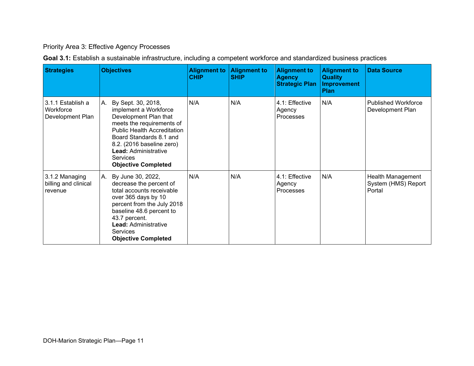#### Priority Area 3: Effective Agency Processes

| Goal 3.1: Establish a sustainable infrastructure, including a competent workforce and standardized business practices |
|-----------------------------------------------------------------------------------------------------------------------|
|-----------------------------------------------------------------------------------------------------------------------|

<span id="page-10-0"></span>

| <b>Strategies</b>                                  | <b>Objectives</b>                                                                                                                                                                                                                                                              | <b>Alignment to</b><br><b>CHIP</b> | <b>Alignment to</b><br><b>SHIP</b> | <b>Alignment to</b><br><b>Agency</b><br><b>Strategic Plan</b> | <b>Alignment to</b><br><b>Quality</b><br><b>Improvement</b><br><b>Plan</b> | <b>Data Source</b>                                 |
|----------------------------------------------------|--------------------------------------------------------------------------------------------------------------------------------------------------------------------------------------------------------------------------------------------------------------------------------|------------------------------------|------------------------------------|---------------------------------------------------------------|----------------------------------------------------------------------------|----------------------------------------------------|
| 3.1.1 Establish a<br>Workforce<br>Development Plan | By Sept. 30, 2018,<br>А.<br>implement a Workforce<br>Development Plan that<br>meets the requirements of<br><b>Public Health Accreditation</b><br>Board Standards 8.1 and<br>8.2. (2016 baseline zero)<br><b>Lead: Administrative</b><br>Services<br><b>Objective Completed</b> | N/A                                | N/A                                | 4.1: Effective<br>Agency<br><b>Processes</b>                  | N/A                                                                        | <b>Published Workforce</b><br>Development Plan     |
| 3.1.2 Managing<br>billing and clinical<br>revenue  | A. By June 30, 2022,<br>decrease the percent of<br>total accounts receivable<br>over 365 days by 10<br>percent from the July 2018<br>baseline 48.6 percent to<br>43.7 percent.<br><b>Lead: Administrative</b><br>Services<br><b>Objective Completed</b>                        | N/A                                | N/A                                | 4.1: Effective<br>Agency<br>Processes                         | N/A                                                                        | Health Management<br>System (HMS) Report<br>Portal |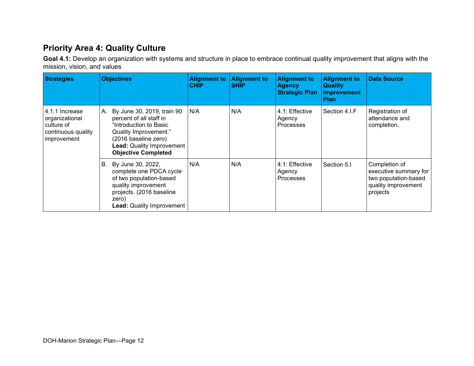### **Priority Area 4: Quality Culture**

**Goal 4.1:** Develop an organization with systems and structure in place to embrace continual quality improvement that aligns with the mission, vision, and values

<span id="page-11-0"></span>

| <b>Strategies</b>                                                                   | <b>Objectives</b>                                                                                                                                                                                        | <b>Alignment to</b><br><b>CHIP</b> | <b>Alignment to</b><br><b>SHIP</b> | <b>Alignment to</b><br><b>Agency</b><br><b>Strategic Plan</b> | <b>Alignment to</b><br><b>Quality</b><br><b>Improvement</b><br><b>Plan</b> | <b>Data Source</b>                                                                                |
|-------------------------------------------------------------------------------------|----------------------------------------------------------------------------------------------------------------------------------------------------------------------------------------------------------|------------------------------------|------------------------------------|---------------------------------------------------------------|----------------------------------------------------------------------------|---------------------------------------------------------------------------------------------------|
| 4.1.1 Increase<br>organizational<br>culture of<br>continuous quality<br>improvement | By June 30, 2019, train 90<br>А.<br>percent of all staff in<br>"Introduction to Basic<br>Quality Improvement."<br>(2016 baseline zero)<br><b>Lead: Quality Improvement</b><br><b>Objective Completed</b> | N/A                                | N/A                                | 4.1: Effective<br>Agency<br><b>Processes</b>                  | Section 4.I.F                                                              | Registration of<br>attendance and<br>completion.                                                  |
|                                                                                     | B. By June 30, 2022,<br>complete one PDCA cycle<br>of two population-based<br>quality improvement<br>projects. (2016 baseline<br>zero)<br><b>Lead: Quality Improvement</b>                               | N/A                                | N/A                                | 4.1: Effective<br>Agency<br><b>Processes</b>                  | Section 5.I                                                                | Completion of<br>executive summary for<br>two population-based<br>quality improvement<br>projects |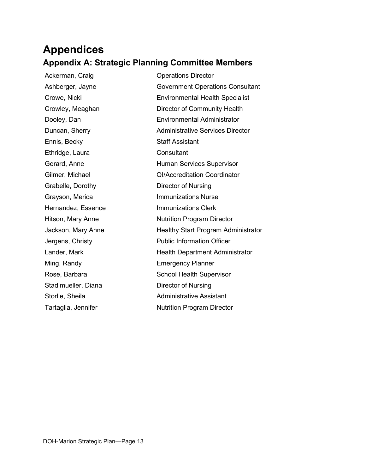### <span id="page-12-0"></span>**Appendices Appendix A: Strategic Planning Committee Members**

Ennis, Becky Staff Assistant Ethridge, Laura Consultant Grabelle, Dorothy Director of Nursing Stadlmueller, Diana Director of Nursing

<span id="page-12-1"></span>Ackerman, Craig Castillac Contractor Cherations Director Ashberger, Jayne Government Operations Consultant Crowe, Nicki Environmental Health Specialist Crowley, Meaghan Director of Community Health Dooley, Dan **Environmental Administrator** Duncan, Sherry **Administrative Services Director** Gerard, Anne **Human Services Supervisor** Gilmer, Michael QI/Accreditation Coordinator Grayson, Merica **Immunizations Nurse** Hernandez, Essence **Immunizations Clerk** Hitson, Mary Anne Nutrition Program Director Jackson, Mary Anne **Healthy Start Program Administrator** Jergens, Christy **Public Information Officer** Lander, Mark **Health Department Administrator** Ming, Randy **Emergency Planner** Rose, Barbara School Health Supervisor Storlie, Sheila **Administrative Assistant** Tartaglia, Jennifer **Nutrition Program Director**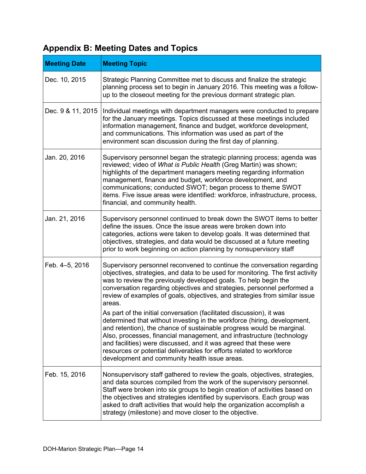### <span id="page-13-0"></span>**Appendix B: Meeting Dates and Topics**

| <b>Meeting Date</b> | <b>Meeting Topic</b>                                                                                                                                                                                                                                                                                                                                                                                                                                                                             |
|---------------------|--------------------------------------------------------------------------------------------------------------------------------------------------------------------------------------------------------------------------------------------------------------------------------------------------------------------------------------------------------------------------------------------------------------------------------------------------------------------------------------------------|
| Dec. 10, 2015       | Strategic Planning Committee met to discuss and finalize the strategic<br>planning process set to begin in January 2016. This meeting was a follow-<br>up to the closeout meeting for the previous dormant strategic plan.                                                                                                                                                                                                                                                                       |
| Dec. 9 & 11, 2015   | Individual meetings with department managers were conducted to prepare<br>for the January meetings. Topics discussed at these meetings included<br>information management, finance and budget, workforce development,<br>and communications. This information was used as part of the<br>environment scan discussion during the first day of planning.                                                                                                                                           |
| Jan. 20, 2016       | Supervisory personnel began the strategic planning process; agenda was<br>reviewed; video of What is Public Health (Greg Martin) was shown;<br>highlights of the department managers meeting regarding information<br>management, finance and budget, workforce development, and<br>communications; conducted SWOT; began process to theme SWOT<br>items. Five issue areas were identified: workforce, infrastructure, process,<br>financial, and community health.                              |
| Jan. 21, 2016       | Supervisory personnel continued to break down the SWOT items to better<br>define the issues. Once the issue areas were broken down into<br>categories, actions were taken to develop goals. It was determined that<br>objectives, strategies, and data would be discussed at a future meeting<br>prior to work beginning on action planning by nonsupervisory staff                                                                                                                              |
| Feb. 4-5, 2016      | Supervisory personnel reconvened to continue the conversation regarding<br>objectives, strategies, and data to be used for monitoring. The first activity<br>was to review the previously developed goals. To help begin the<br>conversation regarding objectives and strategies, personnel performed a<br>review of examples of goals, objectives, and strategies from similar issue<br>areas.                                                                                                  |
|                     | As part of the initial conversation (facilitated discussion), it was<br>determined that without investing in the workforce (hiring, development,<br>and retention), the chance of sustainable progress would be marginal.<br>Also, processes, financial management, and infrastructure (technology<br>and facilities) were discussed, and it was agreed that these were<br>resources or potential deliverables for efforts related to workforce<br>development and community health issue areas. |
| Feb. 15, 2016       | Nonsupervisory staff gathered to review the goals, objectives, strategies,<br>and data sources compiled from the work of the supervisory personnel.<br>Staff were broken into six groups to begin creation of activities based on<br>the objectives and strategies identified by supervisors. Each group was<br>asked to draft activities that would help the organization accomplish a<br>strategy (milestone) and move closer to the objective.                                                |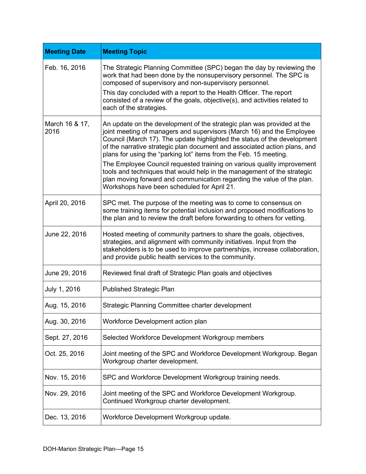| <b>Meeting Date</b>    | <b>Meeting Topic</b>                                                                                                                                                                                                                                                                                                                                                                                                                                                                                                                                                                                                                                        |
|------------------------|-------------------------------------------------------------------------------------------------------------------------------------------------------------------------------------------------------------------------------------------------------------------------------------------------------------------------------------------------------------------------------------------------------------------------------------------------------------------------------------------------------------------------------------------------------------------------------------------------------------------------------------------------------------|
| Feb. 16, 2016          | The Strategic Planning Committee (SPC) began the day by reviewing the<br>work that had been done by the nonsupervisory personnel. The SPC is<br>composed of supervisory and non-supervisory personnel.<br>This day concluded with a report to the Health Officer. The report<br>consisted of a review of the goals, objective(s), and activities related to<br>each of the strategies.                                                                                                                                                                                                                                                                      |
| March 16 & 17,<br>2016 | An update on the development of the strategic plan was provided at the<br>joint meeting of managers and supervisors (March 16) and the Employee<br>Council (March 17). The update highlighted the status of the development<br>of the narrative strategic plan document and associated action plans, and<br>plans for using the "parking lot" items from the Feb. 15 meeting.<br>The Employee Council requested training on various quality improvement<br>tools and techniques that would help in the management of the strategic<br>plan moving forward and communication regarding the value of the plan.<br>Workshops have been scheduled for April 21. |
| April 20, 2016         | SPC met. The purpose of the meeting was to come to consensus on<br>some training items for potential inclusion and proposed modifications to<br>the plan and to review the draft before forwarding to others for vetting.                                                                                                                                                                                                                                                                                                                                                                                                                                   |
| June 22, 2016          | Hosted meeting of community partners to share the goals, objectives,<br>strategies, and alignment with community initiatives. Input from the<br>stakeholders is to be used to improve partnerships, increase collaboration,<br>and provide public health services to the community.                                                                                                                                                                                                                                                                                                                                                                         |
| June 29, 2016          | Reviewed final draft of Strategic Plan goals and objectives                                                                                                                                                                                                                                                                                                                                                                                                                                                                                                                                                                                                 |
| July 1, 2016           | <b>Published Strategic Plan</b>                                                                                                                                                                                                                                                                                                                                                                                                                                                                                                                                                                                                                             |
| Aug. 15, 2016          | Strategic Planning Committee charter development                                                                                                                                                                                                                                                                                                                                                                                                                                                                                                                                                                                                            |
| Aug. 30, 2016          | Workforce Development action plan                                                                                                                                                                                                                                                                                                                                                                                                                                                                                                                                                                                                                           |
| Sept. 27, 2016         | Selected Workforce Development Workgroup members                                                                                                                                                                                                                                                                                                                                                                                                                                                                                                                                                                                                            |
| Oct. 25, 2016          | Joint meeting of the SPC and Workforce Development Workgroup. Began<br>Workgroup charter development.                                                                                                                                                                                                                                                                                                                                                                                                                                                                                                                                                       |
| Nov. 15, 2016          | SPC and Workforce Development Workgroup training needs.                                                                                                                                                                                                                                                                                                                                                                                                                                                                                                                                                                                                     |
| Nov. 29, 2016          | Joint meeting of the SPC and Workforce Development Workgroup.<br>Continued Workgroup charter development.                                                                                                                                                                                                                                                                                                                                                                                                                                                                                                                                                   |
| Dec. 13, 2016          | Workforce Development Workgroup update.                                                                                                                                                                                                                                                                                                                                                                                                                                                                                                                                                                                                                     |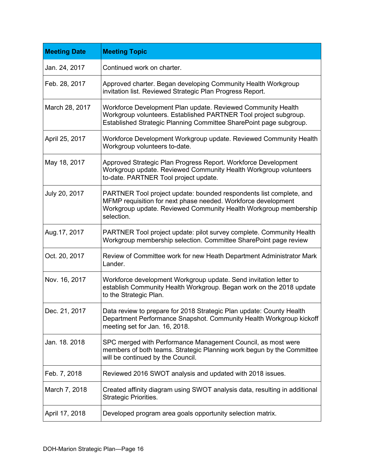| <b>Meeting Date</b> | <b>Meeting Topic</b>                                                                                                                                                                                                   |
|---------------------|------------------------------------------------------------------------------------------------------------------------------------------------------------------------------------------------------------------------|
| Jan. 24, 2017       | Continued work on charter.                                                                                                                                                                                             |
| Feb. 28, 2017       | Approved charter. Began developing Community Health Workgroup<br>invitation list. Reviewed Strategic Plan Progress Report.                                                                                             |
| March 28, 2017      | Workforce Development Plan update. Reviewed Community Health<br>Workgroup volunteers. Established PARTNER Tool project subgroup.<br>Established Strategic Planning Committee SharePoint page subgroup.                 |
| April 25, 2017      | Workforce Development Workgroup update. Reviewed Community Health<br>Workgroup volunteers to-date.                                                                                                                     |
| May 18, 2017        | Approved Strategic Plan Progress Report. Workforce Development<br>Workgroup update. Reviewed Community Health Workgroup volunteers<br>to-date. PARTNER Tool project update.                                            |
| July 20, 2017       | PARTNER Tool project update: bounded respondents list complete, and<br>MFMP requisition for next phase needed. Workforce development<br>Workgroup update. Reviewed Community Health Workgroup membership<br>selection. |
| Aug. 17, 2017       | PARTNER Tool project update: pilot survey complete. Community Health<br>Workgroup membership selection. Committee SharePoint page review                                                                               |
| Oct. 20, 2017       | Review of Committee work for new Heath Department Administrator Mark<br>Lander.                                                                                                                                        |
| Nov. 16, 2017       | Workforce development Workgroup update. Send invitation letter to<br>establish Community Health Workgroup. Began work on the 2018 update<br>to the Strategic Plan.                                                     |
| Dec. 21, 2017       | Data review to prepare for 2018 Strategic Plan update: County Health<br>Department Performance Snapshot. Community Health Workgroup kickoff<br>meeting set for Jan. 16, 2018.                                          |
| Jan. 18. 2018       | SPC merged with Performance Management Council, as most were<br>members of both teams. Strategic Planning work begun by the Committee<br>will be continued by the Council.                                             |
| Feb. 7, 2018        | Reviewed 2016 SWOT analysis and updated with 2018 issues.                                                                                                                                                              |
| March 7, 2018       | Created affinity diagram using SWOT analysis data, resulting in additional<br>Strategic Priorities.                                                                                                                    |
| April 17, 2018      | Developed program area goals opportunity selection matrix.                                                                                                                                                             |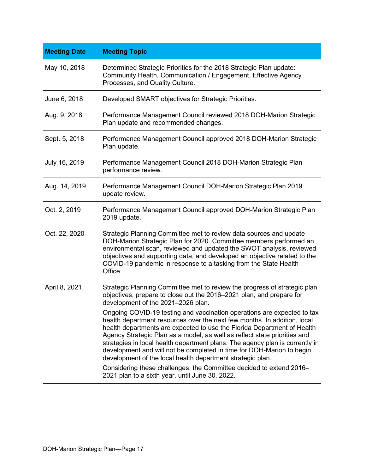| <b>Meeting Date</b> | <b>Meeting Topic</b>                                                                                                                                                                                                                                                                                                                                                                                                                                                                                                                                                                                                                                         |
|---------------------|--------------------------------------------------------------------------------------------------------------------------------------------------------------------------------------------------------------------------------------------------------------------------------------------------------------------------------------------------------------------------------------------------------------------------------------------------------------------------------------------------------------------------------------------------------------------------------------------------------------------------------------------------------------|
| May 10, 2018        | Determined Strategic Priorities for the 2018 Strategic Plan update:<br>Community Health, Communication / Engagement, Effective Agency<br>Processes, and Quality Culture.                                                                                                                                                                                                                                                                                                                                                                                                                                                                                     |
| June 6, 2018        | Developed SMART objectives for Strategic Priorities.                                                                                                                                                                                                                                                                                                                                                                                                                                                                                                                                                                                                         |
| Aug. 9, 2018        | Performance Management Council reviewed 2018 DOH-Marion Strategic<br>Plan update and recommended changes.                                                                                                                                                                                                                                                                                                                                                                                                                                                                                                                                                    |
| Sept. 5, 2018       | Performance Management Council approved 2018 DOH-Marion Strategic<br>Plan update.                                                                                                                                                                                                                                                                                                                                                                                                                                                                                                                                                                            |
| July 16, 2019       | Performance Management Council 2018 DOH-Marion Strategic Plan<br>performance review.                                                                                                                                                                                                                                                                                                                                                                                                                                                                                                                                                                         |
| Aug. 14, 2019       | Performance Management Council DOH-Marion Strategic Plan 2019<br>update review.                                                                                                                                                                                                                                                                                                                                                                                                                                                                                                                                                                              |
| Oct. 2, 2019        | Performance Management Council approved DOH-Marion Strategic Plan<br>2019 update.                                                                                                                                                                                                                                                                                                                                                                                                                                                                                                                                                                            |
| Oct. 22, 2020       | Strategic Planning Committee met to review data sources and update<br>DOH-Marion Strategic Plan for 2020. Committee members performed an<br>environmental scan, reviewed and updated the SWOT analysis, reviewed<br>objectives and supporting data, and developed an objective related to the<br>COVID-19 pandemic in response to a tasking from the State Health<br>Office.                                                                                                                                                                                                                                                                                 |
| April 8, 2021       | Strategic Planning Committee met to review the progress of strategic plan<br>objectives, prepare to close out the 2016-2021 plan, and prepare for<br>development of the 2021-2026 plan.                                                                                                                                                                                                                                                                                                                                                                                                                                                                      |
|                     | Ongoing COVID-19 testing and vaccination operations are expected to tax<br>health department resources over the next few months. In addition, local<br>health departments are expected to use the Florida Department of Health<br>Agency Strategic Plan as a model, as well as reflect state priorities and<br>strategies in local health department plans. The agency plan is currently in<br>development and will not be completed in time for DOH-Marion to begin<br>development of the local health department strategic plan.<br>Considering these challenges, the Committee decided to extend 2016-<br>2021 plan to a sixth year, until June 30, 2022. |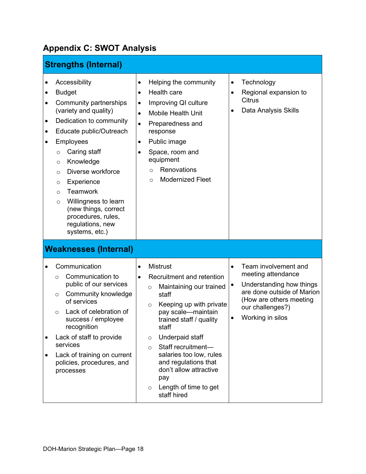### <span id="page-17-0"></span>**Appendix C: SWOT Analysis**

| <b>Strengths (Internal)</b>                                                                                                                                                                                                                                                                                                                                                                                                                                            |                                                                                                                                                                                                                                                                                                                                                                                                                             |                                                                                                                                                                                                        |
|------------------------------------------------------------------------------------------------------------------------------------------------------------------------------------------------------------------------------------------------------------------------------------------------------------------------------------------------------------------------------------------------------------------------------------------------------------------------|-----------------------------------------------------------------------------------------------------------------------------------------------------------------------------------------------------------------------------------------------------------------------------------------------------------------------------------------------------------------------------------------------------------------------------|--------------------------------------------------------------------------------------------------------------------------------------------------------------------------------------------------------|
| Accessibility<br><b>Budget</b><br>٠<br>Community partnerships<br>$\bullet$<br>(variety and quality)<br>Dedication to community<br>$\bullet$<br>Educate public/Outreach<br>٠<br>Employees<br>$\bullet$<br>Caring staff<br>$\circ$<br>Knowledge<br>$\circ$<br>Diverse workforce<br>$\circ$<br>Experience<br>$\circ$<br><b>Teamwork</b><br>$\circ$<br>Willingness to learn<br>$\circ$<br>(new things, correct<br>procedures, rules,<br>regulations, new<br>systems, etc.) | Helping the community<br>$\bullet$<br>Health care<br>$\bullet$<br>Improving QI culture<br>$\bullet$<br><b>Mobile Health Unit</b><br>$\bullet$<br>Preparedness and<br>$\bullet$<br>response<br>Public image<br>$\bullet$<br>Space, room and<br>equipment<br><b>Renovations</b><br>$\circ$<br><b>Modernized Fleet</b><br>$\circ$                                                                                              | Technology<br>$\bullet$<br>Regional expansion to<br>$\bullet$<br><b>Citrus</b><br>Data Analysis Skills                                                                                                 |
| <b>Weaknesses (Internal)</b>                                                                                                                                                                                                                                                                                                                                                                                                                                           |                                                                                                                                                                                                                                                                                                                                                                                                                             |                                                                                                                                                                                                        |
| Communication<br>Communication to<br>$\circ$<br>public of our services<br>Community knowledge<br>O<br>of services<br>Lack of celebration of<br>$\Omega$<br>success / employee<br>recognition<br>Lack of staff to provide<br>services<br>Lack of training on current<br>$\bullet$<br>policies, procedures, and<br>processes                                                                                                                                             | <b>Mistrust</b><br>$\bullet$<br>Recruitment and retention<br>$\bullet$<br>Maintaining our trained<br>$\circ$<br>staff<br>Keeping up with private<br>$\circ$<br>pay scale-maintain<br>trained staff / quality<br>staff<br>Underpaid staff<br>$\circ$<br>Staff recruitment-<br>$\circ$<br>salaries too low, rules<br>and regulations that<br>don't allow attractive<br>pay<br>Length of time to get<br>$\circ$<br>staff hired | Team involvement and<br>$\bullet$<br>meeting attendance<br>Understanding how things<br>٠<br>are done outside of Marion<br>(How are others meeting<br>our challenges?)<br>Working in silos<br>$\bullet$ |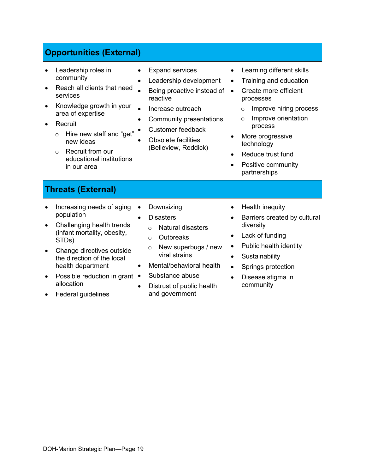|                                                               | <b>Opportunities (External)</b>                                                                                                                                                                                                                                       |                                                                                                                                                                                                                                                                                                                  |                                                                                                                                                                                                                                                                                                                                                |
|---------------------------------------------------------------|-----------------------------------------------------------------------------------------------------------------------------------------------------------------------------------------------------------------------------------------------------------------------|------------------------------------------------------------------------------------------------------------------------------------------------------------------------------------------------------------------------------------------------------------------------------------------------------------------|------------------------------------------------------------------------------------------------------------------------------------------------------------------------------------------------------------------------------------------------------------------------------------------------------------------------------------------------|
| $\bullet$<br>$\bullet$<br>$\bullet$<br>$\bullet$              | Leadership roles in<br>community<br>Reach all clients that need<br>services<br>Knowledge growth in your<br>area of expertise<br>Recruit<br>Hire new staff and "get"<br>$\circ$<br>new ideas<br>Recruit from our<br>$\circ$<br>educational institutions<br>in our area | <b>Expand services</b><br>$\bullet$<br>Leadership development<br>$\bullet$<br>Being proactive instead of<br>reactive<br>Increase outreach<br>$\bullet$<br>Community presentations<br>$\bullet$<br><b>Customer feedback</b><br><b>Obsolete facilities</b><br>(Belleview, Reddick)                                 | Learning different skills<br>$\bullet$<br>Training and education<br>٠<br>Create more efficient<br>$\bullet$<br>processes<br>Improve hiring process<br>$\circ$<br>Improve orientation<br>$\circ$<br>process<br>More progressive<br>$\bullet$<br>technology<br>Reduce trust fund<br>$\bullet$<br>Positive community<br>$\bullet$<br>partnerships |
|                                                               | <b>Threats (External)</b>                                                                                                                                                                                                                                             |                                                                                                                                                                                                                                                                                                                  |                                                                                                                                                                                                                                                                                                                                                |
| $\bullet$<br>$\bullet$<br>$\bullet$<br>$\bullet$<br>$\bullet$ | Increasing needs of aging<br>population<br>Challenging health trends<br>(infant mortality, obesity,<br>STDs)<br>Change directives outside<br>the direction of the local<br>health department<br>Possible reduction in grant<br>allocation<br>Federal guidelines       | Downsizing<br>$\bullet$<br><b>Disasters</b><br>$\bullet$<br><b>Natural disasters</b><br>$\Omega$<br>Outbreaks<br>$\circ$<br>New superbugs / new<br>$\circ$<br>viral strains<br>Mental/behavioral health<br>$\bullet$<br>Substance abuse<br>$\bullet$<br>Distrust of public health<br>$\bullet$<br>and government | Health inequity<br>$\bullet$<br>Barriers created by cultural<br>$\bullet$<br>diversity<br>Lack of funding<br>$\bullet$<br>Public health identity<br>$\bullet$<br>Sustainability<br>$\bullet$<br>Springs protection<br>$\bullet$<br>Disease stigma in<br>$\bullet$<br>community                                                                 |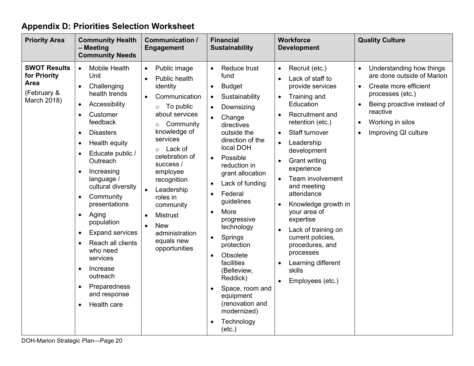### **Appendix D: Priorities Selection Worksheet**

<span id="page-19-0"></span>

| <b>Priority Area</b>                                                             | <b>Community Health</b><br>- Meeting<br><b>Community Needs</b>                                                                                                                                                                                                                                                                                                                                                                                                                                                                                                                                                                     | <b>Communication /</b><br><b>Engagement</b>                                                                                                                                                                                                                                                                                                                                                                           | <b>Financial</b><br><b>Sustainability</b>                                                                                                                                                                                                                                                                                                                                                                                                                                                                                                                                                                                                | <b>Workforce</b><br><b>Development</b>                                                                                                                                                                                                                                                                                                                                                                                                                                                                          | <b>Quality Culture</b>                                                                                                                                                                                                           |
|----------------------------------------------------------------------------------|------------------------------------------------------------------------------------------------------------------------------------------------------------------------------------------------------------------------------------------------------------------------------------------------------------------------------------------------------------------------------------------------------------------------------------------------------------------------------------------------------------------------------------------------------------------------------------------------------------------------------------|-----------------------------------------------------------------------------------------------------------------------------------------------------------------------------------------------------------------------------------------------------------------------------------------------------------------------------------------------------------------------------------------------------------------------|------------------------------------------------------------------------------------------------------------------------------------------------------------------------------------------------------------------------------------------------------------------------------------------------------------------------------------------------------------------------------------------------------------------------------------------------------------------------------------------------------------------------------------------------------------------------------------------------------------------------------------------|-----------------------------------------------------------------------------------------------------------------------------------------------------------------------------------------------------------------------------------------------------------------------------------------------------------------------------------------------------------------------------------------------------------------------------------------------------------------------------------------------------------------|----------------------------------------------------------------------------------------------------------------------------------------------------------------------------------------------------------------------------------|
| <b>SWOT Results</b><br>for Priority<br><b>Area</b><br>(February &<br>March 2018) | <b>Mobile Health</b><br>$\bullet$<br>Unit<br>Challenging<br>$\bullet$<br>health trends<br>Accessibility<br>$\bullet$<br>Customer<br>$\bullet$<br>feedback<br><b>Disasters</b><br>$\bullet$<br>Health equity<br>$\bullet$<br>Educate public /<br>$\bullet$<br>Outreach<br>Increasing<br>$\bullet$<br>language /<br>cultural diversity<br>Community<br>$\bullet$<br>presentations<br>Aging<br>$\bullet$<br>population<br><b>Expand services</b><br>$\bullet$<br>Reach all clients<br>$\bullet$<br>who need<br>services<br>Increase<br>$\bullet$<br>outreach<br>Preparedness<br>$\bullet$<br>and response<br>Health care<br>$\bullet$ | Public image<br>$\bullet$<br>Public health<br>$\bullet$<br>identity<br>Communication<br>$\bullet$<br>To public<br>$\circ$<br>about services<br>Community<br>$\circ$<br>knowledge of<br>services<br>Lack of<br>$\circ$<br>celebration of<br>success /<br>employee<br>recognition<br>Leadership<br>roles in<br>community<br><b>Mistrust</b><br><b>New</b><br>$\bullet$<br>administration<br>equals new<br>opportunities | Reduce trust<br>$\bullet$<br>fund<br><b>Budget</b><br>$\bullet$<br>Sustainability<br>$\bullet$<br>Downsizing<br>$\bullet$<br>Change<br>$\bullet$<br>directives<br>outside the<br>direction of the<br>local DOH<br>Possible<br>$\bullet$<br>reduction in<br>grant allocation<br>Lack of funding<br>$\bullet$<br>Federal<br>$\bullet$<br>guidelines<br>More<br>$\bullet$<br>progressive<br>technology<br>Springs<br>$\bullet$<br>protection<br>Obsolete<br>$\bullet$<br>facilities<br>(Belleview,<br>Reddick)<br>Space, room and<br>$\bullet$<br>equipment<br>(renovation and<br>modernized)<br>Technology<br>$\bullet$<br>$(\text{etc.})$ | Recruit (etc.)<br>$\bullet$<br>Lack of staff to<br>provide services<br>Training and<br>$\bullet$<br>Education<br>Recruitment and<br>retention (etc.)<br><b>Staff turnover</b><br>$\bullet$<br>Leadership<br>$\bullet$<br>development<br><b>Grant writing</b><br>experience<br>Team involvement<br>and meeting<br>attendance<br>Knowledge growth in<br>your area of<br>expertise<br>Lack of training on<br>current policies,<br>procedures, and<br>processes<br>Learning different<br>skills<br>Employees (etc.) | Understanding how things<br>are done outside of Marion<br>Create more efficient<br>$\bullet$<br>processes (etc.)<br>Being proactive instead of<br>reactive<br>Working in silos<br>$\bullet$<br>Improving QI culture<br>$\bullet$ |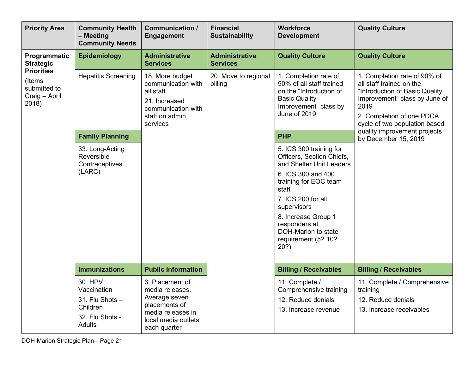| <b>Priority Area</b>                                                  | <b>Community Health</b><br>- Meeting<br><b>Community Needs</b>                                                                                                                  | <b>Communication /</b><br><b>Engagement</b>                                                                                      | <b>Financial</b><br><b>Sustainability</b> | <b>Workforce</b><br><b>Development</b>                                                                                                                                                                                                                                     | <b>Quality Culture</b>                                                                                                                                                                                                            |
|-----------------------------------------------------------------------|---------------------------------------------------------------------------------------------------------------------------------------------------------------------------------|----------------------------------------------------------------------------------------------------------------------------------|-------------------------------------------|----------------------------------------------------------------------------------------------------------------------------------------------------------------------------------------------------------------------------------------------------------------------------|-----------------------------------------------------------------------------------------------------------------------------------------------------------------------------------------------------------------------------------|
| Programmatic<br><b>Strategic</b>                                      | <b>Epidemiology</b>                                                                                                                                                             | <b>Administrative</b><br><b>Services</b>                                                                                         | <b>Administrative</b><br><b>Services</b>  | <b>Quality Culture</b>                                                                                                                                                                                                                                                     | <b>Quality Culture</b>                                                                                                                                                                                                            |
| <b>Priorities</b><br>(Items<br>submitted to<br>Craig - April<br>2018) | <b>Hepatitis Screening</b><br>18. More budget<br>communication with<br>all staff<br>21. Increased<br>communication with<br>staff on admin<br>services<br><b>Family Planning</b> |                                                                                                                                  | 20. Move to regional<br>billing           | 1. Completion rate of<br>90% of all staff trained<br>on the "Introduction of<br><b>Basic Quality</b><br>Improvement" class by<br>June of 2019<br><b>PHP</b>                                                                                                                | 1. Completion rate of 90% of<br>all staff trained on the<br>"Introduction of Basic Quality<br>Improvement" class by June of<br>2019<br>2. Completion of one PDCA<br>cycle of two population based<br>quality improvement projects |
|                                                                       | 33. Long-Acting<br>Reversible<br>Contraceptives<br>(LARC)                                                                                                                       |                                                                                                                                  |                                           | 5. ICS 300 training for<br>Officers, Section Chiefs,<br>and Shelter Unit Leaders<br>6. ICS 300 and 400<br>training for EOC team<br>staff<br>7. ICS 200 for all<br>supervisors<br>8. Increase Group 1<br>responders at<br>DOH-Marion to state<br>requirement (5? 10?<br>20? | by December 15, 2019                                                                                                                                                                                                              |
|                                                                       | <b>Immunizations</b>                                                                                                                                                            | <b>Public Information</b>                                                                                                        |                                           | <b>Billing / Receivables</b>                                                                                                                                                                                                                                               | <b>Billing / Receivables</b>                                                                                                                                                                                                      |
|                                                                       | 30. HPV<br>Vaccination<br>31. Flu Shots -<br>Children<br>32. Flu Shots -<br><b>Adults</b>                                                                                       | 3. Placement of<br>media releases.<br>Average seven<br>placements of<br>media releases in<br>local media outlets<br>each quarter |                                           | 11. Complete /<br>Comprehensive training<br>12. Reduce denials<br>13. Increase revenue                                                                                                                                                                                     | 11. Complete / Comprehensive<br>training<br>12. Reduce denials<br>13. Increase receivables                                                                                                                                        |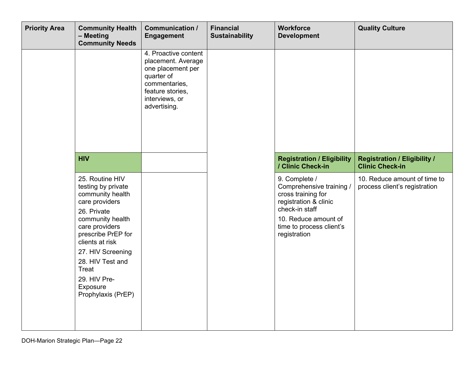| <b>Priority Area</b> | <b>Community Health</b><br>- Meeting<br><b>Community Needs</b>                                                                                                                                                                                                                | <b>Communication /</b><br><b>Engagement</b>                                                                                                          | <b>Financial</b><br><b>Sustainability</b> | <b>Workforce</b><br><b>Development</b>                                                                                                                                         | <b>Quality Culture</b>                                        |
|----------------------|-------------------------------------------------------------------------------------------------------------------------------------------------------------------------------------------------------------------------------------------------------------------------------|------------------------------------------------------------------------------------------------------------------------------------------------------|-------------------------------------------|--------------------------------------------------------------------------------------------------------------------------------------------------------------------------------|---------------------------------------------------------------|
|                      |                                                                                                                                                                                                                                                                               | 4. Proactive content<br>placement. Average<br>one placement per<br>quarter of<br>commentaries,<br>feature stories,<br>interviews, or<br>advertising. |                                           |                                                                                                                                                                                |                                                               |
|                      | <b>HIV</b>                                                                                                                                                                                                                                                                    |                                                                                                                                                      |                                           | <b>Registration / Eligibility</b><br>/ Clinic Check-in                                                                                                                         | <b>Registration / Eligibility /</b><br><b>Clinic Check-in</b> |
|                      | 25. Routine HIV<br>testing by private<br>community health<br>care providers<br>26. Private<br>community health<br>care providers<br>prescribe PrEP for<br>clients at risk<br>27. HIV Screening<br>28. HIV Test and<br>Treat<br>29. HIV Pre-<br>Exposure<br>Prophylaxis (PrEP) |                                                                                                                                                      |                                           | 9. Complete /<br>Comprehensive training /<br>cross training for<br>registration & clinic<br>check-in staff<br>10. Reduce amount of<br>time to process client's<br>registration | 10. Reduce amount of time to<br>process client's registration |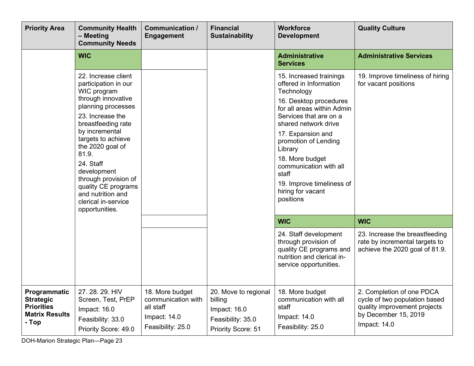| <b>Priority Area</b>                                                                    | <b>Community Health</b><br>- Meeting<br><b>Community Needs</b>                                                                                                                                                                                                                                                                                                 | <b>Communication /</b><br><b>Engagement</b>                                             | <b>Financial</b><br><b>Sustainability</b>                                                         | <b>Workforce</b><br><b>Development</b>                                                                                                                                                                                                                                                                                                                 | <b>Quality Culture</b>                                                                                                               |
|-----------------------------------------------------------------------------------------|----------------------------------------------------------------------------------------------------------------------------------------------------------------------------------------------------------------------------------------------------------------------------------------------------------------------------------------------------------------|-----------------------------------------------------------------------------------------|---------------------------------------------------------------------------------------------------|--------------------------------------------------------------------------------------------------------------------------------------------------------------------------------------------------------------------------------------------------------------------------------------------------------------------------------------------------------|--------------------------------------------------------------------------------------------------------------------------------------|
|                                                                                         | <b>WIC</b>                                                                                                                                                                                                                                                                                                                                                     |                                                                                         |                                                                                                   | <b>Administrative</b><br><b>Services</b>                                                                                                                                                                                                                                                                                                               | <b>Administrative Services</b>                                                                                                       |
|                                                                                         | 22. Increase client<br>participation in our<br>WIC program<br>through innovative<br>planning processes<br>23. Increase the<br>breastfeeding rate<br>by incremental<br>targets to achieve<br>the 2020 goal of<br>81.9.<br>24. Staff<br>development<br>through provision of<br>quality CE programs<br>and nutrition and<br>clerical in-service<br>opportunities. |                                                                                         |                                                                                                   | 15. Increased trainings<br>offered in Information<br>Technology<br>16. Desktop procedures<br>for all areas within Admin<br>Services that are on a<br>shared network drive<br>17. Expansion and<br>promotion of Lending<br>Library<br>18. More budget<br>communication with all<br>staff<br>19. Improve timeliness of<br>hiring for vacant<br>positions | 19. Improve timeliness of hiring<br>for vacant positions                                                                             |
|                                                                                         |                                                                                                                                                                                                                                                                                                                                                                |                                                                                         |                                                                                                   | <b>WIC</b>                                                                                                                                                                                                                                                                                                                                             | <b>WIC</b>                                                                                                                           |
|                                                                                         |                                                                                                                                                                                                                                                                                                                                                                |                                                                                         |                                                                                                   | 24. Staff development<br>through provision of<br>quality CE programs and<br>nutrition and clerical in-<br>service opportunities.                                                                                                                                                                                                                       | 23. Increase the breastfeeding<br>rate by incremental targets to<br>achieve the 2020 goal of 81.9.                                   |
| Programmatic<br><b>Strategic</b><br><b>Priorities</b><br><b>Matrix Results</b><br>- Top | 27. 28. 29. HIV<br>Screen, Test, PrEP<br>Impact: 16.0<br>Feasibility: 33.0<br>Priority Score: 49.0                                                                                                                                                                                                                                                             | 18. More budget<br>communication with<br>all staff<br>Impact: 14.0<br>Feasibility: 25.0 | 20. Move to regional<br>billing<br>Impact: 16.0<br>Feasibility: 35.0<br><b>Priority Score: 51</b> | 18. More budget<br>communication with all<br>staff<br>Impact: 14.0<br>Feasibility: 25.0                                                                                                                                                                                                                                                                | 2. Completion of one PDCA<br>cycle of two population based<br>quality improvement projects<br>by December 15, 2019<br>Impact: $14.0$ |

DOH-Marion Strategic Plan—Page 23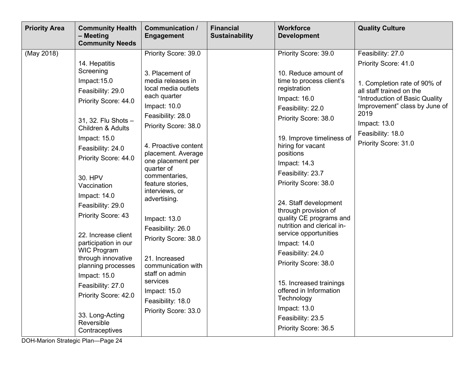| <b>Priority Area</b><br><b>Community Health</b><br><b>Communication /</b><br>- Meeting<br><b>Engagement</b><br><b>Community Needs</b>                                                                                                                                                                                                                                                                                                                                                                                                                                                                                                                                                                                                                                                                                                                                                                                                                                                                                                                                          | <b>Financial</b><br><b>Sustainability</b> | <b>Workforce</b><br><b>Development</b>                                                                                                                                                                                                                                                                                                                                                                                                                                                                                                                                                    | <b>Quality Culture</b>                                                                                                                                                                                                                        |
|--------------------------------------------------------------------------------------------------------------------------------------------------------------------------------------------------------------------------------------------------------------------------------------------------------------------------------------------------------------------------------------------------------------------------------------------------------------------------------------------------------------------------------------------------------------------------------------------------------------------------------------------------------------------------------------------------------------------------------------------------------------------------------------------------------------------------------------------------------------------------------------------------------------------------------------------------------------------------------------------------------------------------------------------------------------------------------|-------------------------------------------|-------------------------------------------------------------------------------------------------------------------------------------------------------------------------------------------------------------------------------------------------------------------------------------------------------------------------------------------------------------------------------------------------------------------------------------------------------------------------------------------------------------------------------------------------------------------------------------------|-----------------------------------------------------------------------------------------------------------------------------------------------------------------------------------------------------------------------------------------------|
| (May 2018)<br>Priority Score: 39.0<br>14. Hepatitis<br>Screening<br>3. Placement of<br>media releases in<br>Impact: 15.0<br>local media outlets<br>Feasibility: 29.0<br>each quarter<br>Priority Score: 44.0<br>Impact: $10.0$<br>Feasibility: 28.0<br>31, 32. Flu Shots -<br>Priority Score: 38.0<br><b>Children &amp; Adults</b><br>Impact: 15.0<br>4. Proactive content<br>Feasibility: 24.0<br>placement. Average<br>Priority Score: 44.0<br>one placement per<br>quarter of<br>commentaries,<br>30. HPV<br>feature stories,<br>Vaccination<br>interviews, or<br>Impact: 14.0<br>advertising.<br>Feasibility: 29.0<br>Priority Score: 43<br>Impact: 13.0<br>Feasibility: 26.0<br>22. Increase client<br>Priority Score: 38.0<br>participation in our<br><b>WIC Program</b><br>through innovative<br>21. Increased<br>planning processes<br>communication with<br>staff on admin<br>Impact: 15.0<br>services<br>Feasibility: 27.0<br>Impact: $15.0$<br>Priority Score: 42.0<br>Feasibility: 18.0<br>Priority Score: 33.0<br>33. Long-Acting<br>Reversible<br>Contraceptives |                                           | Priority Score: 39.0<br>10. Reduce amount of<br>time to process client's<br>registration<br>Impact: 16.0<br>Feasibility: 22.0<br>Priority Score: 38.0<br>19. Improve timeliness of<br>hiring for vacant<br>positions<br>Impact: 14.3<br>Feasibility: 23.7<br>Priority Score: 38.0<br>24. Staff development<br>through provision of<br>quality CE programs and<br>nutrition and clerical in-<br>service opportunities<br>Impact: 14.0<br>Feasibility: 24.0<br>Priority Score: 38.0<br>15. Increased trainings<br>offered in Information<br>Technology<br>Impact: 13.0<br>Feasibility: 23.5 | Feasibility: 27.0<br>Priority Score: 41.0<br>1. Completion rate of 90% of<br>all staff trained on the<br>"Introduction of Basic Quality<br>Improvement" class by June of<br>2019<br>Impact: 13.0<br>Feasibility: 18.0<br>Priority Score: 31.0 |

DOH-Marion Strategic Plan—Page 24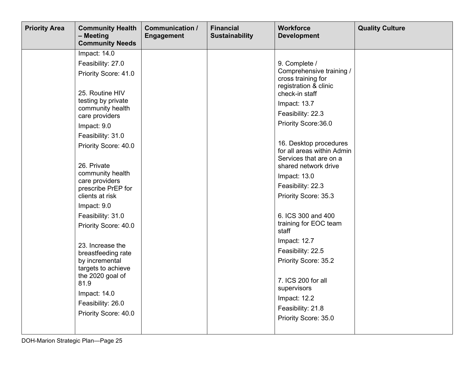| <b>Priority Area</b> | <b>Community Health</b><br>- Meeting<br><b>Community Needs</b>                                                                                                                                                                                                               | <b>Communication /</b><br><b>Engagement</b> | <b>Financial</b><br><b>Sustainability</b> | <b>Workforce</b><br><b>Development</b>                                                                                                                                                                                                                                                            | <b>Quality Culture</b> |
|----------------------|------------------------------------------------------------------------------------------------------------------------------------------------------------------------------------------------------------------------------------------------------------------------------|---------------------------------------------|-------------------------------------------|---------------------------------------------------------------------------------------------------------------------------------------------------------------------------------------------------------------------------------------------------------------------------------------------------|------------------------|
|                      | Impact: 14.0<br>Feasibility: 27.0<br>Priority Score: 41.0<br>25. Routine HIV<br>testing by private<br>community health<br>care providers<br>Impact: 9.0<br>Feasibility: 31.0<br>Priority Score: 40.0<br>26. Private<br>community health<br>care providers                    |                                             |                                           | 9. Complete /<br>Comprehensive training /<br>cross training for<br>registration & clinic<br>check-in staff<br>Impact: 13.7<br>Feasibility: 22.3<br>Priority Score: 36.0<br>16. Desktop procedures<br>for all areas within Admin<br>Services that are on a<br>shared network drive<br>Impact: 13.0 |                        |
|                      | prescribe PrEP for<br>clients at risk<br>Impact: 9.0<br>Feasibility: 31.0<br>Priority Score: 40.0<br>23. Increase the<br>breastfeeding rate<br>by incremental<br>targets to achieve<br>the 2020 goal of<br>81.9<br>Impact: 14.0<br>Feasibility: 26.0<br>Priority Score: 40.0 |                                             |                                           | Feasibility: 22.3<br>Priority Score: 35.3<br>6. ICS 300 and 400<br>training for EOC team<br>staff<br>Impact: 12.7<br>Feasibility: 22.5<br>Priority Score: 35.2<br>7. ICS 200 for all<br>supervisors<br>Impact: 12.2<br>Feasibility: 21.8<br>Priority Score: 35.0                                  |                        |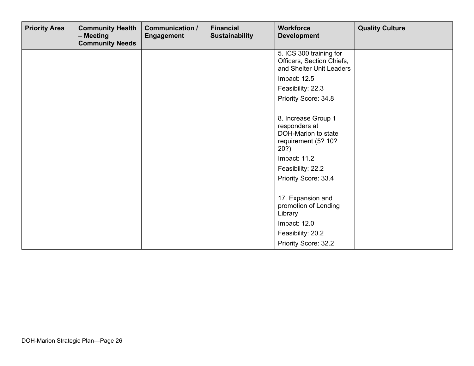| <b>Priority Area</b> | <b>Community Health</b><br>- Meeting<br><b>Community Needs</b> | <b>Communication /</b><br><b>Engagement</b> | <b>Financial</b><br><b>Sustainability</b> | <b>Workforce</b><br><b>Development</b>                                                                                                                 | <b>Quality Culture</b> |
|----------------------|----------------------------------------------------------------|---------------------------------------------|-------------------------------------------|--------------------------------------------------------------------------------------------------------------------------------------------------------|------------------------|
|                      |                                                                |                                             |                                           | 5. ICS 300 training for<br>Officers, Section Chiefs,<br>and Shelter Unit Leaders                                                                       |                        |
|                      |                                                                |                                             |                                           | Impact: 12.5                                                                                                                                           |                        |
|                      |                                                                |                                             |                                           | Feasibility: 22.3                                                                                                                                      |                        |
|                      |                                                                |                                             |                                           | Priority Score: 34.8                                                                                                                                   |                        |
|                      |                                                                |                                             |                                           | 8. Increase Group 1<br>responders at<br>DOH-Marion to state<br>requirement (5? 10?<br>20?<br>Impact: 11.2<br>Feasibility: 22.2<br>Priority Score: 33.4 |                        |
|                      |                                                                |                                             |                                           | 17. Expansion and<br>promotion of Lending<br>Library                                                                                                   |                        |
|                      |                                                                |                                             |                                           | Impact: 12.0                                                                                                                                           |                        |
|                      |                                                                |                                             |                                           | Feasibility: 20.2                                                                                                                                      |                        |
|                      |                                                                |                                             |                                           | Priority Score: 32.2                                                                                                                                   |                        |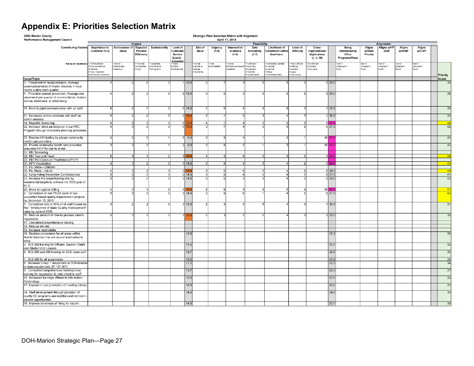### **Appendix E: Priorities Selection Matrix**

<span id="page-26-0"></span>

| Performance Management Council                                                                                                        |                                                                         |                                   | Impact                            |                                           |                                                       |              |                                                       |                    | April 17, 2018                         | <b>Feasibility</b>                                             |                                                                                |                                                                   |                                                        |              |                                                  |                                 | Alignment                     |                               |                               |                 |
|---------------------------------------------------------------------------------------------------------------------------------------|-------------------------------------------------------------------------|-----------------------------------|-----------------------------------|-------------------------------------------|-------------------------------------------------------|--------------|-------------------------------------------------------|--------------------|----------------------------------------|----------------------------------------------------------------|--------------------------------------------------------------------------------|-------------------------------------------------------------------|--------------------------------------------------------|--------------|--------------------------------------------------|---------------------------------|-------------------------------|-------------------------------|-------------------------------|-----------------|
| <b>Contributing Factors</b>                                                                                                           | Importance to<br>Customer (1-3)                                         | Seriousness of<br>Issue           | Expected<br>Process<br>Efficiency | Sustainability                            | Level of<br>Custome<br>Service<br>Quality<br>Expected |              | Size of<br>Issue                                      | Urgency<br>$(1-9)$ | Intervention<br>Available<br>$(1-6)$   | Data<br>Availability<br>$(1-3)$                                | Likelihood of<br><b>Completion withir</b><br>timeframe                         | Level of<br>Difficulty                                            | Cross-<br>organizational<br>Implications<br>(1, 3, 10) |              | Being<br>Addressed by<br>Other<br>Programs/Plans | Aligns<br>w/State<br>Priority   | Aligns w/HP<br>2020           | Aligns<br>w/SHIIP             | Aligns<br><b>w/CHIP</b>       |                 |
| Rating of Importance 1=not important                                                                                                  | =low importance<br>=Neutral<br>I=very important<br>=extremely important | $=$ minor<br>emoderate<br>serious | =minimal<br>=moderate<br>3=high   | I=uncertain<br>met-horts=9<br>s=lang-term | =nane<br>=minor<br>=enhanced                          |              | $1 = \text{small}$<br>2=medium<br>amal=8<br>4=extrame | l=nat<br>=mandated | enone<br>s=Evidence based<br>available | unknown<br>2=annually<br>=quarterly<br>=monthly<br>i=on demand | =extremely unlikely<br>=unlikelv<br>=neutral<br>s=likelv<br>5=extremely likely | =very difficult<br>=difficult<br>neutral<br>vaes-l<br>5=very easy | 0=confined<br>several<br>=org wide                     |              | Yes=0<br>Unknown=1<br>$No=2$                     | $10s = 2$<br>Unknow=1<br>$No=0$ | $708 = 2$<br>Unknow=1<br>D=GV | Yes=2<br>Unknow=1<br>$NO = 0$ | Yes=2<br>Unknow=1<br>$NQ = 0$ | Priority        |
| <b>Issue/Topic</b>                                                                                                                    |                                                                         |                                   |                                   |                                           |                                                       |              |                                                       |                    |                                        |                                                                |                                                                                |                                                                   |                                                        |              |                                                  |                                 |                               |                               |                               | Score           |
| 3. Placement of media releases. Average                                                                                               |                                                                         |                                   |                                   |                                           |                                                       | 10.0         |                                                       |                    |                                        |                                                                |                                                                                |                                                                   |                                                        | 28.0         |                                                  |                                 |                               |                               |                               | 36              |
| seven placements of media releases in local<br>media outlets each quarter                                                             |                                                                         |                                   |                                   |                                           |                                                       |              |                                                       |                    |                                        |                                                                |                                                                                |                                                                   |                                                        |              |                                                  |                                 |                               |                               |                               |                 |
| 4. Proactive content placement. Average one<br>placement per quarter of commentaries, feature<br>stories, interviews, or advertising. |                                                                         |                                   |                                   |                                           |                                                       | 2 13.0       |                                                       |                    |                                        |                                                                |                                                                                |                                                                   |                                                        | 3 26.0       |                                                  |                                 |                               |                               |                               | 36              |
| 18. More budget communication with all staff                                                                                          |                                                                         |                                   |                                   | $\mathbf{a}$                              |                                                       | 2 14.0       | 2 <sup>1</sup>                                        |                    |                                        |                                                                |                                                                                |                                                                   |                                                        | 25.0         |                                                  |                                 |                               |                               |                               | 39              |
| 21. Increased communications with staff on<br>admin services                                                                          |                                                                         |                                   |                                   |                                           |                                                       | 3 15.0       | $\mathbf{3}$                                          |                    |                                        |                                                                |                                                                                |                                                                   |                                                        | 18.0         |                                                  |                                 |                               |                               |                               | $\overline{33}$ |
| 14. Hepatitis Screening                                                                                                               |                                                                         |                                   |                                   | $\overline{2}$                            |                                                       | 2 15         |                                                       | 4                  | $\overline{a}$                         |                                                                |                                                                                |                                                                   |                                                        | 29f          |                                                  |                                 |                               |                               |                               | $-44$           |
| 22. Increase client participation in our WIC<br>Program through innovative planning processes.                                        |                                                                         |                                   |                                   |                                           | зI                                                    | 15.1         | 3                                                     |                    |                                        |                                                                |                                                                                |                                                                   |                                                        | 3 27.0       |                                                  |                                 |                               |                               |                               | 42              |
| 25. Routine HIV testing by private community<br>health care providers                                                                 |                                                                         |                                   |                                   |                                           |                                                       | $2 \ 9.0$    | $\overline{3}$                                        |                    |                                        |                                                                |                                                                                |                                                                   |                                                        | $10$ 31.0    |                                                  |                                 |                               |                               |                               | 40              |
| 26. Private community health care providers                                                                                           |                                                                         |                                   |                                   |                                           |                                                       | $2 \ 9.0$    | $\frac{3}{2}$                                         |                    |                                        |                                                                |                                                                                |                                                                   |                                                        | $10$ 31.0    |                                                  |                                 |                               |                               |                               | 40              |
| prescribe PrEP for clients at risk                                                                                                    |                                                                         |                                   |                                   |                                           |                                                       |              |                                                       |                    |                                        |                                                                |                                                                                |                                                                   |                                                        |              |                                                  |                                 |                               |                               |                               |                 |
| 27. HIV Screening<br>28. HIV Test and Treat                                                                                           |                                                                         |                                   | વ                                 | $\overline{2}$                            | $\mathbf{R}$                                          |              | $-4$                                                  | $\mathbf{R}$       | -6                                     | -5                                                             | -5                                                                             | $\mathcal{D}$                                                     |                                                        | 3 33.0       |                                                  |                                 |                               |                               |                               | 49              |
| 29. HIV Pre-Exposure Prophylaxis (PrEP)                                                                                               |                                                                         |                                   |                                   |                                           |                                                       |              |                                                       |                    |                                        |                                                                |                                                                                |                                                                   |                                                        |              |                                                  |                                 |                               |                               |                               |                 |
| 30. HPV Vaccination                                                                                                                   |                                                                         |                                   |                                   | 3                                         |                                                       | 3 14.0       |                                                       | $\overline{3}$     | $\mathbf{A}$                           |                                                                |                                                                                |                                                                   |                                                        | 29.0         |                                                  |                                 |                               |                               |                               | $-43$           |
| 31. Flu Shots-Children                                                                                                                |                                                                         |                                   |                                   |                                           |                                                       |              |                                                       |                    |                                        |                                                                |                                                                                |                                                                   |                                                        |              |                                                  |                                 |                               |                               |                               |                 |
| 32. Flu Shots-Adults                                                                                                                  |                                                                         |                                   |                                   |                                           |                                                       |              | 3                                                     |                    |                                        |                                                                |                                                                                |                                                                   |                                                        | 24.0         |                                                  |                                 |                               |                               |                               | $-44$           |
| 33. Long-Acting Reversible Contraceptives                                                                                             |                                                                         |                                   |                                   | 3                                         |                                                       | 14.0         | 3                                                     |                    |                                        |                                                                |                                                                                |                                                                   |                                                        | 27.0         |                                                  |                                 |                               |                               |                               | 41              |
| 23. Increase the breastfeeding rate by<br>incremental targets to achieve the 2020 goal of<br>81.9.                                    |                                                                         |                                   |                                   |                                           |                                                       | 14.0         | 3                                                     |                    |                                        |                                                                |                                                                                |                                                                   |                                                        | 26.0         |                                                  |                                 |                               |                               |                               | 40              |
| 20. Move to regional billing                                                                                                          |                                                                         |                                   |                                   |                                           |                                                       |              | $\overline{2}$                                        |                    |                                        |                                                                |                                                                                |                                                                   | 10 <sup>1</sup>                                        | 35.C         |                                                  |                                 |                               |                               |                               | 51              |
| 2. Completion of one PDCA cycle of two<br>population based quality improvement projects<br>by December 15, 2019                       |                                                                         |                                   |                                   | 3                                         |                                                       | 14.0         | 3                                                     |                    |                                        |                                                                |                                                                                |                                                                   |                                                        | 3 27.0       |                                                  |                                 |                               |                               |                               | 43              |
| 1. Completion rate of 90% of all staff trained on<br>the: "Introduction of Basic Quality Improvement"<br>class by June of 2019        |                                                                         |                                   |                                   | વ                                         |                                                       | 3 13.0       | 2 <sup>1</sup>                                        |                    |                                        |                                                                |                                                                                |                                                                   |                                                        | 18.0         |                                                  |                                 |                               |                               |                               | 31              |
| 10. Reduce amount of time to process client's<br>registration                                                                         |                                                                         |                                   |                                   |                                           |                                                       | 3 16.0       | $\overline{2}$                                        |                    |                                        |                                                                |                                                                                |                                                                   |                                                        | 3 22.0       |                                                  |                                 |                               |                               |                               | 38              |
| 11. Complete/Comprehensive training                                                                                                   |                                                                         |                                   |                                   |                                           |                                                       |              |                                                       |                    |                                        |                                                                |                                                                                |                                                                   |                                                        |              |                                                  |                                 |                               |                               |                               |                 |
| 12. Reduce denials                                                                                                                    |                                                                         |                                   |                                   |                                           |                                                       |              |                                                       |                    |                                        |                                                                |                                                                                |                                                                   |                                                        |              |                                                  |                                 |                               |                               |                               |                 |
| 13. Increase receivables<br>16. Desktop procedures for all areas within<br>Admin Services that are on a shared network                |                                                                         |                                   |                                   |                                           |                                                       | 13.0         |                                                       |                    |                                        |                                                                |                                                                                |                                                                   |                                                        | 22.3         |                                                  |                                 |                               |                               |                               | 36              |
| drive<br>5. ICS 300 training for Officers, Section Chiefs,<br>and Shelter Unit Leaders                                                |                                                                         |                                   |                                   |                                           |                                                       | 12.5         |                                                       |                    |                                        |                                                                |                                                                                |                                                                   |                                                        | 22.2         |                                                  |                                 |                               |                               |                               | 35              |
| 6. ICS 300 and 400 training for EOC team staff                                                                                        |                                                                         |                                   |                                   |                                           |                                                       | 12.7         |                                                       |                    |                                        |                                                                |                                                                                |                                                                   |                                                        | 22.5         |                                                  |                                 |                               |                               |                               | 35              |
| ICS 200 for all supervisors                                                                                                           |                                                                         |                                   |                                   |                                           |                                                       | 12.2         |                                                       |                    |                                        |                                                                |                                                                                |                                                                   |                                                        | 21.8         |                                                  |                                 |                               |                               |                               | 35              |
| 8. Increase Group 1 responders at DOH-Marion<br>to state requirement (5? 10? 20?)                                                     |                                                                         |                                   |                                   |                                           |                                                       | 11.2         |                                                       |                    |                                        |                                                                |                                                                                |                                                                   |                                                        | 22.2         |                                                  |                                 |                               |                               |                               | 34              |
| 9. Complete/Comprehensive training/cross<br>training for registration & clinic check in staff                                         |                                                                         |                                   |                                   |                                           |                                                       | 13.7<br>13.0 |                                                       |                    |                                        |                                                                |                                                                                |                                                                   |                                                        | 22.3<br>23.5 |                                                  |                                 |                               |                               |                               | 37<br>35        |
| 15. Increased trainings offered in Information<br>Technology                                                                          |                                                                         |                                   |                                   |                                           |                                                       |              |                                                       |                    |                                        |                                                                |                                                                                |                                                                   |                                                        |              |                                                  |                                 |                               |                               |                               |                 |
| 17. Expansion and promotion of Lending Library                                                                                        |                                                                         |                                   |                                   |                                           |                                                       | 12.0         |                                                       |                    |                                        |                                                                |                                                                                |                                                                   |                                                        | 20.2         |                                                  |                                 |                               |                               |                               | 33              |
| 24. Staff development through provision of<br>quality CE programs and nutrition and clerical in-<br>service opportunities.            |                                                                         |                                   |                                   |                                           |                                                       | 14.0         |                                                       |                    |                                        |                                                                |                                                                                |                                                                   |                                                        | 24.0         |                                                  |                                 |                               |                               |                               | 35              |
| 19. Improve timeliness of hiring for vacant                                                                                           |                                                                         |                                   |                                   |                                           |                                                       | 14.3         |                                                       |                    |                                        |                                                                |                                                                                |                                                                   |                                                        | 23.7         |                                                  |                                 |                               |                               |                               | 38              |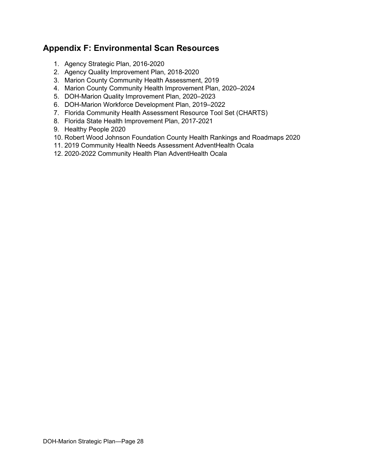#### <span id="page-27-0"></span>**Appendix F: Environmental Scan Resources**

- 1. [Agency Strategic Plan, 2016-2020](http://dcs-doh-ws10/DOHPerfManSYS/FHPDocuments/Agency_SP/AgencyStrategicPlan.pdf)
- 2. [Agency Quality Improvement Plan, 2018-2020](http://dcs-doh-ws10/DOHPerfManSYS/FHPDocuments/Agency_QIPlan/AgencyQIPlan.pdf)
- 3. Marion County [Community Health Assessment, 2019](http://marion.floridahealth.gov/programs-and-services/_documents/marion_cha_2019.pdf)
- 4. Marion County [Community Health Improvement Plan, 2020–2024](http://marion.floridahealth.gov/programs-and-services/community-health-planning-and-statistics/_documents/2020_2024_community_health_improvement_plan_chip.pdf)
- 5. DOH-Marion Quality Improvement Plan, 2020–2023
- 6. DOH-Marion Workforce Development Plan, 2019–2022
- 7. [Florida Community Health Assessment Resource Tool Set \(CHARTS\)](http://www.floridacharts.com/charts/default.aspx)
- 8. [Florida State Health Improvement Plan, 2017-2021](http://www.floridahealth.gov/about-the-department-of-health/about-us/state-and-community-health-assessment/ship-process/SHIP-goals-strat-obj.7.pdf?utm_source=flhealth.gov-call-out)
- 9. [Healthy People 2020](https://www.healthypeople.gov/)
- 10. Robert Wood Johnson Foundation [County Health Rankings and Roadmaps 2020](http://www.countyhealthrankings.org/app/florida/2019/rankings/marion/county/outcomes/overall/snapshot)
- 11. [2019 Community Health Needs Assessment AdventHealth Ocala](https://www.adventhealth.com/sites/default/files/assets/2019_CHNA_AdventHealth_Ocala.pdf)
- 12. [2020-2022 Community Health Plan AdventHealth Ocala](https://www.adventhealth.com/sites/default/files/assets/2020-2022-Community-Health-Plan-Ocala-FINAL.pdf)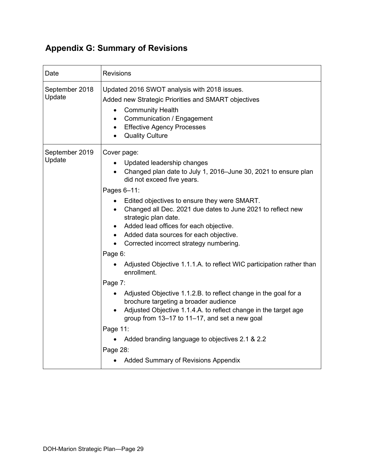## <span id="page-28-0"></span>**Appendix G: Summary of Revisions**

| Date                     | <b>Revisions</b>                                                                                                                                                                                                                                                                                                                                                                                                                                                                                                                                                                                                                                                                                                                                                                                                                                                                                                                              |  |  |  |  |  |  |  |
|--------------------------|-----------------------------------------------------------------------------------------------------------------------------------------------------------------------------------------------------------------------------------------------------------------------------------------------------------------------------------------------------------------------------------------------------------------------------------------------------------------------------------------------------------------------------------------------------------------------------------------------------------------------------------------------------------------------------------------------------------------------------------------------------------------------------------------------------------------------------------------------------------------------------------------------------------------------------------------------|--|--|--|--|--|--|--|
| September 2018<br>Update | Updated 2016 SWOT analysis with 2018 issues.<br>Added new Strategic Priorities and SMART objectives<br><b>Community Health</b><br>$\bullet$<br>Communication / Engagement<br>$\bullet$<br><b>Effective Agency Processes</b><br><b>Quality Culture</b>                                                                                                                                                                                                                                                                                                                                                                                                                                                                                                                                                                                                                                                                                         |  |  |  |  |  |  |  |
| September 2019<br>Update | Cover page:<br>Updated leadership changes<br>Changed plan date to July 1, 2016-June 30, 2021 to ensure plan<br>did not exceed five years.<br>Pages 6-11:<br>Edited objectives to ensure they were SMART.<br>$\bullet$<br>Changed all Dec. 2021 due dates to June 2021 to reflect new<br>strategic plan date.<br>Added lead offices for each objective.<br>$\bullet$<br>• Added data sources for each objective.<br>Corrected incorrect strategy numbering.<br>Page 6:<br>Adjusted Objective 1.1.1.A. to reflect WIC participation rather than<br>enrollment.<br>Page 7:<br>Adjusted Objective 1.1.2.B. to reflect change in the goal for a<br>brochure targeting a broader audience<br>Adjusted Objective 1.1.4.A. to reflect change in the target age<br>$\bullet$<br>group from 13-17 to 11-17, and set a new goal<br>Page 11:<br>Added branding language to objectives 2.1 & 2.2<br>Page 28:<br><b>Added Summary of Revisions Appendix</b> |  |  |  |  |  |  |  |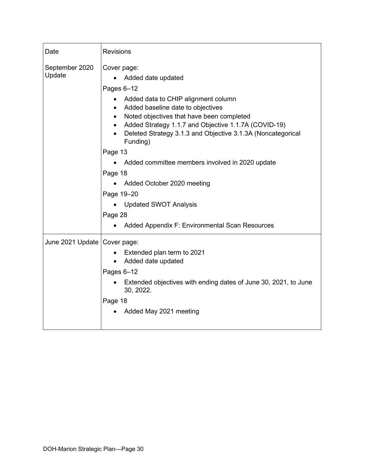| Date                           | <b>Revisions</b>                                                                                                                                                                                                                                                                                                                                                                                                                                                                                                              |
|--------------------------------|-------------------------------------------------------------------------------------------------------------------------------------------------------------------------------------------------------------------------------------------------------------------------------------------------------------------------------------------------------------------------------------------------------------------------------------------------------------------------------------------------------------------------------|
| September 2020<br>Update       | Cover page:<br>Added date updated<br>Pages 6-12<br>Added data to CHIP alignment column<br>Added baseline date to objectives<br>Noted objectives that have been completed<br>Added Strategy 1.1.7 and Objective 1.1.7A (COVID-19)<br>Deleted Strategy 3.1.3 and Objective 3.1.3A (Noncategorical<br>Funding)<br>Page 13<br>Added committee members involved in 2020 update<br>Page 18<br>Added October 2020 meeting<br>Page 19-20<br><b>Updated SWOT Analysis</b><br>Page 28<br>Added Appendix F: Environmental Scan Resources |
| June 2021 Update   Cover page: | Extended plan term to 2021<br>Added date updated<br>$\bullet$<br>Pages 6-12<br>Extended objectives with ending dates of June 30, 2021, to June<br>30, 2022.<br>Page 18<br>Added May 2021 meeting                                                                                                                                                                                                                                                                                                                              |